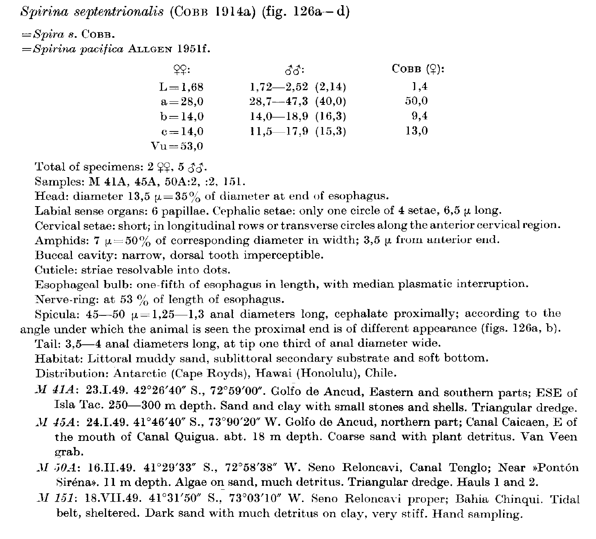Spirina septentrionalis (COBB 1914a) (fig.  $126a-d$ )

 $=$ Spira s. COBB.

 $=$ Spirina pacifica ALLGEN 1951f.

| $QQ$ :            | ನೆನೆ:                  | $C$ овв ( $\varphi$ ): |
|-------------------|------------------------|------------------------|
| $L = 1.68$        | $1,72-2,52$ $(2,14)$   | 1.4                    |
| $a = 28.0$        | $28,7 - 47,3$ (40,0)   | 50.0                   |
| $b = 14.0$        | $14,0$ — $18,9$ (16,3) | 9.4                    |
| $c = 14.0$        | $11,5$ —17,9 (15,3)    | 13,0                   |
| $\rm Nu\!=\!53.0$ |                        |                        |

Total of specimens:  $2 \, \textcircled{2}$ ,  $5 \, \textcircled{3}$ .

Samples: M 41A, 45A, 50A:2, :2, 151.

Head: diameter 13,5  $\mu = 35\%$  of diameter at end of esophagus.

Labial sense organs: 6 papillae. Cephalic setae: only one circle of 4 setae,  $6,5 \mu$  long.

Cervical setae: short; in longitudinal rows or transverse circles along the anterior cervical region.

Amphids: 7  $\mu = 50\%$  of corresponding diameter in width; 3,5  $\mu$  from anterior end.

Buccal cavity: narrow, dorsal tooth imperceptible.

Cuticle: striae resolvable into dots.

Esophageal bulb: one-fifth of esophagus in length, with median plasmatic interruption.

Nerve-ring: at 53  $\%$  of length of esophagus.

Spicula:  $45-50 \mu=1,25-1,3$  anal diameters long, cephalate proximally; according to the angle under which the animal is seen the proximal end is of different appearance (figs. 126a, b).

Tail: 3,5-4 anal diameters long, at tip one third of anal diameter wide.

Habitat: Littoral muddy sand, sublittoral secondary substrate and soft bottom.

Distribution: Antarctic (Cape Royds), Hawai (Honolulu), Chile.

- -M 41A: 23.1.49. 42°26'40" S., 72°59'00". Golfo de Ancud, Eastern and southern parts; ESE of Isla Tac. 250-300 m depth. Sand and clay with small stones and shells. Triangular dredge.
- $M$  45A: 24.1.49. 41°46'40" S., 73°90'20" W. Golfo de Ancud, northern part; Canal Caicaen, E of the mouth of Canal Quigua. abt. 18 m depth. Coarse sand with plant detritus. Van Veen grab.
- M 50A: 16.II.49. 41°29'33" S., 72°58'38" W. Seno Reloncavi, Canal Tenglo; Near »Pontón Siréna». 11 m depth. Algae on sand, much detritus. Triangular dredge. Hauls 1 and 2.
- -M 151: 18.VII.49. 41°31'50" S., 73°03'10" W. Seno Reloncavi proper; Bahia Chinqui. Tidal belt, sheltered. Dark sand with much detritus on clay, very stiff. Hand sampling.